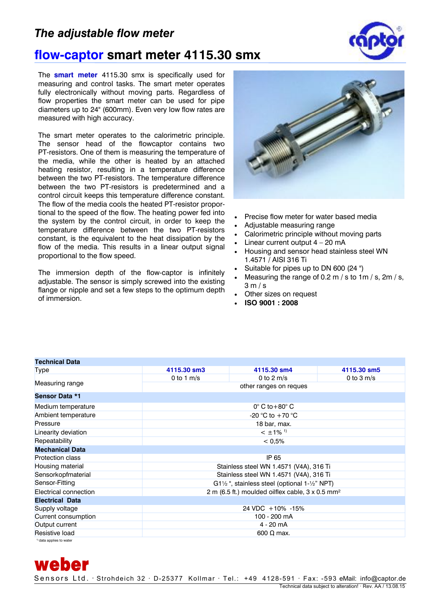## *The adjustable flow meter*



## **flow-captor smart meter 4115.30 smx**

The **smart meter** 4115.30 smx is specifically used for measuring and control tasks. The smart meter operates fully electronically without moving parts. Regardless of flow properties the smart meter can be used for pipe diameters up to 24" (600mm). Even very low flow rates are measured with high accuracy.

The smart meter operates to the calorimetric principle. The sensor head of the flowcaptor contains two PT-resistors. One of them is measuring the temperature of the media, while the other is heated by an attached heating resistor, resulting in a temperature difference between the two PT-resistors. The temperature difference between the two PT-resistors is predetermined and a control circuit keeps this temperature difference constant. The flow of the media cools the heated PT-resistor proportional to the speed of the flow. The heating power fed into the system by the control circuit, in order to keep the temperature difference between the two PT-resistors constant, is the equivalent to the heat dissipation by the flow of the media. This results in a linear output signal proportional to the flow speed.

The immersion depth of the flow-captor is infinitely adjustable. The sensor is simply screwed into the existing flange or nipple and set a few steps to the optimum depth of immersion.

**Technical Data** 

weber



- Precise flow meter for water based media
- Adjustable measuring range
- Calorimetric principle without moving parts
- Linear current output  $4 20$  mA
- Housing and sensor head stainless steel WN 1.4571 / AISI 316 Ti
- Suitable for pipes up to DN 600 (24 ")
- Measuring the range of 0.2 m / s to 1m / s, 2m / s, 3 m / s
- Other sizes on request
- **ISO 9001 : 2008**

| <b>Type</b>             | 4115.30 sm3                                                          | 4115.30 sm4  | 4115.30 sm5  |
|-------------------------|----------------------------------------------------------------------|--------------|--------------|
| Measuring range         | 0 to 1 $m/s$                                                         | 0 to 2 $m/s$ | 0 to 3 $m/s$ |
|                         | other ranges on reques                                               |              |              |
| <b>Sensor Data *1</b>   |                                                                      |              |              |
| Medium temperature      | $0^\circ$ C to +80 $^\circ$ C                                        |              |              |
| Ambient temperature     | -20 °C to $+70$ °C                                                   |              |              |
| Pressure                | 18 bar, max.                                                         |              |              |
| Linearity deviation     | $< \pm 1\%$ <sup>1)</sup>                                            |              |              |
| Repeatability           | < 0.5%                                                               |              |              |
| <b>Mechanical Data</b>  |                                                                      |              |              |
| <b>Protection class</b> | IP 65                                                                |              |              |
| Housing material        | Stainless steel WN 1.4571 (V4A), 316 Ti                              |              |              |
| Sensorkopfmaterial      | Stainless steel WN 1.4571 (V4A), 316 Ti                              |              |              |
| Sensor-Fitting          | $G1\frac{1}{2}$ ", stainless steel (optional 1- $\frac{1}{2}$ " NPT) |              |              |
| Electrical connection   | 2 m (6.5 ft.) moulded oilflex cable, $3 \times 0.5$ mm <sup>2</sup>  |              |              |
| <b>Electrical Data</b>  |                                                                      |              |              |
| Supply voltage          | 24 VDC +10% -15%                                                     |              |              |
| Current consumption     | 100 - 200 mA                                                         |              |              |
| Output current          | 4 - 20 mA                                                            |              |              |
| Resistive load          | $600 \Omega$ max.                                                    |              |              |
| 1) data annice to water |                                                                      |              |              |

Sensors Ltd. · Strohdeich 32 · D-25377 Kollmar · Tel.: +49 4128-591 · Fax: -593 eMail: info@captor.de